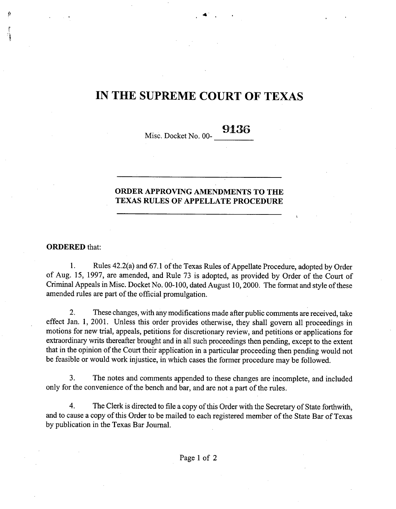## IN THE SUPREME COURT OF TEXAS

Misc. Docket No. 00- 9136

### ORDER APPROVING AMENDMENTS TO THE TEXAS RULES OF APPELLATE PROCEDURE

#### ORDERED that:

1. Rules 42.2(a) and 67.1 of the Texas Rules of Appellate Procedure, adopted by Order of Aug. 15, 1997, are amended, and Rule 73 is adopted, as provided by Order of the Court of Criminal Appeals in Misc. Docket No. 00-100, dated August 10, 2000. The format and style of these amended rules are part of the official promulgation.

2. These changes, with any modifications made after public comments are received, take effect Jan. 1, 2001. Unless this order provides otherwise, they shall govern all proceedings in motions for new trial, appeals, petitions for discretionary review, and petitions or applications for extraordinary writs thereafter brought and in all such proceedings then pending, except to the extent that in the opinion of the Court their application in a particular proceeding then pending would not be feasible or would work injustice, in which cases the former procedure may be followed.

3. The notes and comments appended to these changes are incomplete, and included only for the convenience of the bench and bar, and are not a part of the rules.

4. The Clerk is directed to file a copy of this Order with the Secretary of State forthwith, and to cause a copy of this Order to be mailed to each registered member of the State Bar of Texas by publication in the Texas Bar Journal.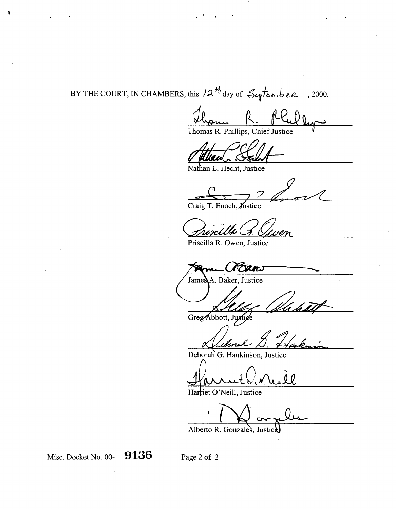# BY THE COURT, IN CHAMBERS, this  $12 \frac{14}{5}$  day of  $\frac{24}{5}$  conber , 2000.

Thomas R. Phillips, Chief Justice

Nathan L. Hecht, Justice

Craig T. Enoch,

Priscilla R. Owen, Justice

Prans

A. Baker, Justice James

Greg Abbott, Justige

Deborah G. Hankinson, Justice

**Harriet O'Neill, Justice** 

*I*

Alberto **R. Gonzales, Justic**

Misc. Docket No. 00- 9136

I

Page 2 of 2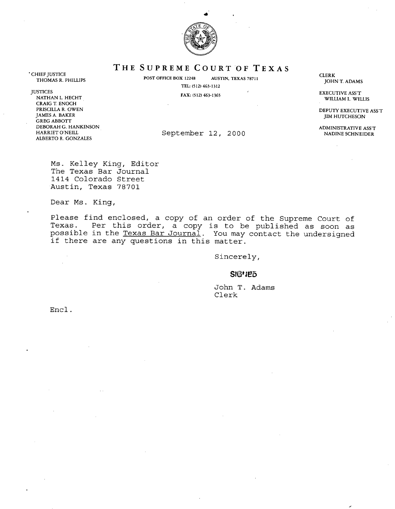

**THE SUPREME** COURT OF TEXAS

THEF JOSTICE<br>THOMAS R. PHILLIPS **POST OFFICE BOX 12248** AUSTIN, TEXAS 78711

TEL: (512) 463-1312

CLERK JOHN T. ADAMS

WILLIAM L. WILLIS

JIM HUTCHESON

CHIEF JUSTICE

JUSTICES EXECUTIVE ASS'T NATHAN L. HECHT CRAIG T. ENOCH PRISCILLA R. OWEN DEPUTY EXECUTIVE ASS'T NAMES A. BAKER ASS'T NAMES A SALE ASS'T DEPUTY EXECUTIVE ASS'T NAMES A SALE ASS'T THE SON GREG ABBOTT DEBORAH G. HANKINSON ADMINISTRATIVE ASS'T ALBERTO R. GONZALES

September 12, 2000

Ms. Kelley King, Editor The Texas Bar Journal 1414 Colorado Street Austin, Texas 78701

Dear Ms. King,

Please find enclosed, a copy of an order of the Supreme Court of Texas. Per this order, a copy is to be published as soon as possible in the Texas Bar Journal. You may contact the undersigned if there are any questions in this matter.

Sincerely,

#### SIGHED

**John T. Adams** Clerk

Encl.